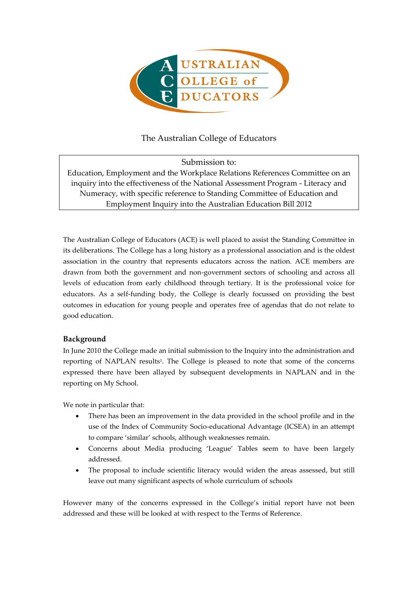

## The Australian College of Educators

Submission to: Education, Employment and the Workplace Relations References Committee on an inquiry into the effectiveness of the National Assessment Program - Literacy and Numeracy, with specific reference to Standing Committee of Education and Employment Inquiry into the Australian Education Bill 2012

The Australian College of Educators (ACE) is well placed to assist the Standing Committee in its deliberations. The College has a long history as a professional association and is the oldest association in the country that represents educators across the nation. ACE members are drawn from both the government and non-government sectors of schooling and across all levels of education from early childhood through tertiary. It is the professional voice for educators. As a self-funding body, the College is clearly focussed on providing the best outcomes in education for young people and operates free of agendas that do not relate to good education.

#### **Background**

In June 2010 the College made an initial submission to the Inquiry into the administration and reporting of NAPLAN results<sup>1</sup>. The College is pleased to note that some of the concerns expressed there have been allayed by subsequent developments in NAPLAN and in the reporting on My School.

We note in particular that:

- There has been an improvement in the data provided in the school profile and in the use of the Index of Community Socio-educational Advantage (ICSEA) in an attempt to compare 'similar' schools, although weaknesses remain.
- Concerns about Media producing 'League' Tables seem to have been largely addressed.
- The proposal to include scientific literacy would widen the areas assessed, but still leave out many significant aspects of whole curriculum of schools

However many of the concerns expressed in the College's initial report have not been addressed and these will be looked at with respect to the Terms of Reference.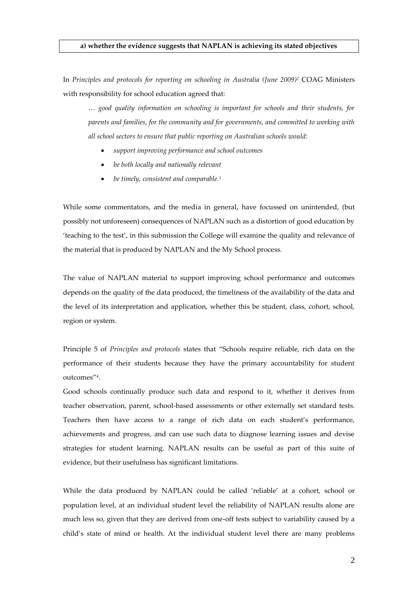In *Principles and protocols for reporting on schooling in Australia (June 2009)<sup>2</sup>* COAG Ministers with responsibility for school education agreed that:

*… good quality information on schooling is important for schools and their students, for parents and families, for the community and for governments, and committed to working with all school sectors to ensure that public reporting on Australian schools would:*

- *support improving performance and school outcomes*
- *be both locally and nationally relevant*
- *be timely, consistent and comparable.<sup>3</sup>*

While some commentators, and the media in general, have focussed on unintended, (but possibly not unforeseen) consequences of NAPLAN such as a distortion of good education by 'teaching to the test', in this submission the College will examine the quality and relevance of the material that is produced by NAPLAN and the My School process.

The value of NAPLAN material to support improving school performance and outcomes depends on the quality of the data produced, the timeliness of the availability of the data and the level of its interpretation and application, whether this be student, class, cohort, school, region or system.

Principle 5 of *Principles and protocols* states that "Schools require reliable, rich data on the performance of their students because they have the primary accountability for student outcomes"<sup>4</sup> .

Good schools continually produce such data and respond to it, whether it derives from teacher observation, parent, school-based assessments or other externally set standard tests. Teachers then have access to a range of rich data on each student's performance, achievements and progress, and can use such data to diagnose learning issues and devise strategies for student learning. NAPLAN results can be useful as part of this suite of evidence, but their usefulness has significant limitations.

While the data produced by NAPLAN could be called 'reliable' at a cohort, school or population level, at an individual student level the reliability of NAPLAN results alone are much less so, given that they are derived from one-off tests subject to variability caused by a child's state of mind or health. At the individual student level there are many problems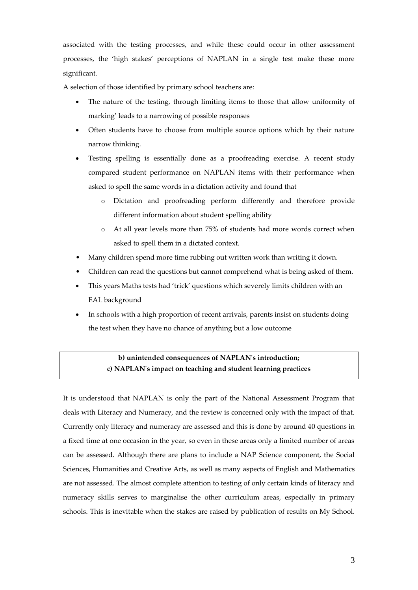associated with the testing processes, and while these could occur in other assessment processes, the 'high stakes' perceptions of NAPLAN in a single test make these more significant.

A selection of those identified by primary school teachers are:

- The nature of the testing, through limiting items to those that allow uniformity of marking' leads to a narrowing of possible responses
- Often students have to choose from multiple source options which by their nature narrow thinking.
- Testing spelling is essentially done as a proofreading exercise. A recent study compared student performance on NAPLAN items with their performance when asked to spell the same words in a dictation activity and found that
	- o Dictation and proofreading perform differently and therefore provide different information about student spelling ability
	- o At all year levels more than 75% of students had more words correct when asked to spell them in a dictated context.
- Many children spend more time rubbing out written work than writing it down.
- Children can read the questions but cannot comprehend what is being asked of them.
- This years Maths tests had 'trick' questions which severely limits children with an EAL background
- In schools with a high proportion of recent arrivals, parents insist on students doing the test when they have no chance of anything but a low outcome

#### **b) unintended consequences of NAPLAN's introduction; c) NAPLAN's impact on teaching and student learning practices**

It is understood that NAPLAN is only the part of the National Assessment Program that deals with Literacy and Numeracy, and the review is concerned only with the impact of that. Currently only literacy and numeracy are assessed and this is done by around 40 questions in a fixed time at one occasion in the year, so even in these areas only a limited number of areas can be assessed. Although there are plans to include a NAP Science component, the Social Sciences, Humanities and Creative Arts, as well as many aspects of English and Mathematics are not assessed. The almost complete attention to testing of only certain kinds of literacy and numeracy skills serves to marginalise the other curriculum areas, especially in primary schools. This is inevitable when the stakes are raised by publication of results on My School.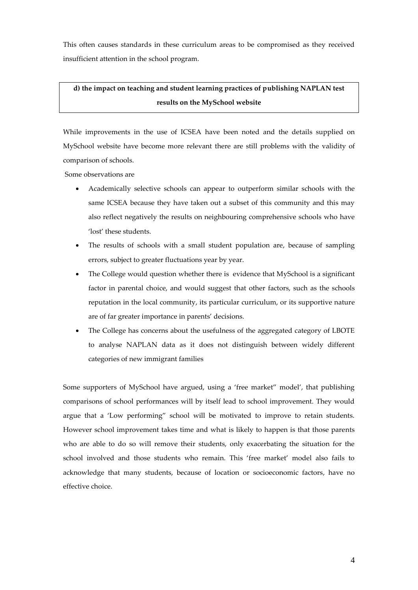This often causes standards in these curriculum areas to be compromised as they received insufficient attention in the school program.

## **d) the impact on teaching and student learning practices of publishing NAPLAN test results on the MySchool website**

While improvements in the use of ICSEA have been noted and the details supplied on MySchool website have become more relevant there are still problems with the validity of comparison of schools.

Some observations are

- Academically selective schools can appear to outperform similar schools with the same ICSEA because they have taken out a subset of this community and this may also reflect negatively the results on neighbouring comprehensive schools who have 'lost' these students.
- The results of schools with a small student population are, because of sampling errors, subject to greater fluctuations year by year.
- The College would question whether there is evidence that MySchool is a significant factor in parental choice, and would suggest that other factors, such as the schools reputation in the local community, its particular curriculum, or its supportive nature are of far greater importance in parents' decisions.
- The College has concerns about the usefulness of the aggregated category of LBOTE to analyse NAPLAN data as it does not distinguish between widely different categories of new immigrant families

Some supporters of MySchool have argued, using a 'free market" model', that publishing comparisons of school performances will by itself lead to school improvement. They would argue that a 'Low performing" school will be motivated to improve to retain students. However school improvement takes time and what is likely to happen is that those parents who are able to do so will remove their students, only exacerbating the situation for the school involved and those students who remain. This 'free market' model also fails to acknowledge that many students, because of location or socioeconomic factors, have no effective choice.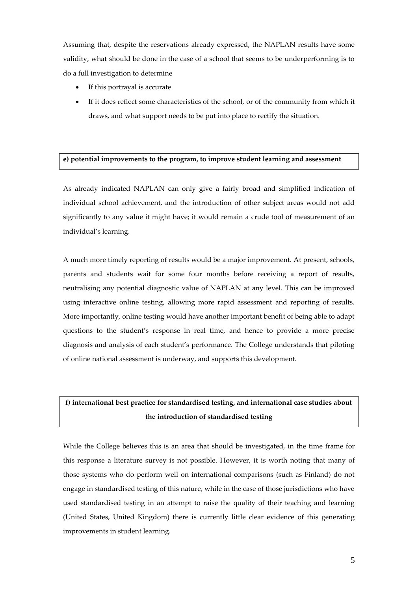Assuming that, despite the reservations already expressed, the NAPLAN results have some validity, what should be done in the case of a school that seems to be underperforming is to do a full investigation to determine

- If this portrayal is accurate
- If it does reflect some characteristics of the school, or of the community from which it draws, and what support needs to be put into place to rectify the situation.

#### **e) potential improvements to the program, to improve student learning and assessment**

As already indicated NAPLAN can only give a fairly broad and simplified indication of individual school achievement, and the introduction of other subject areas would not add significantly to any value it might have; it would remain a crude tool of measurement of an individual's learning.

A much more timely reporting of results would be a major improvement. At present, schools, parents and students wait for some four months before receiving a report of results, neutralising any potential diagnostic value of NAPLAN at any level. This can be improved using interactive online testing, allowing more rapid assessment and reporting of results. More importantly, online testing would have another important benefit of being able to adapt questions to the student's response in real time, and hence to provide a more precise diagnosis and analysis of each student's performance. The College understands that piloting of online national assessment is underway, and supports this development.

# **f) international best practice for standardised testing, and international case studies about the introduction of standardised testing**

While the College believes this is an area that should be investigated, in the time frame for this response a literature survey is not possible. However, it is worth noting that many of those systems who do perform well on international comparisons (such as Finland) do not engage in standardised testing of this nature, while in the case of those jurisdictions who have used standardised testing in an attempt to raise the quality of their teaching and learning (United States, United Kingdom) there is currently little clear evidence of this generating improvements in student learning.